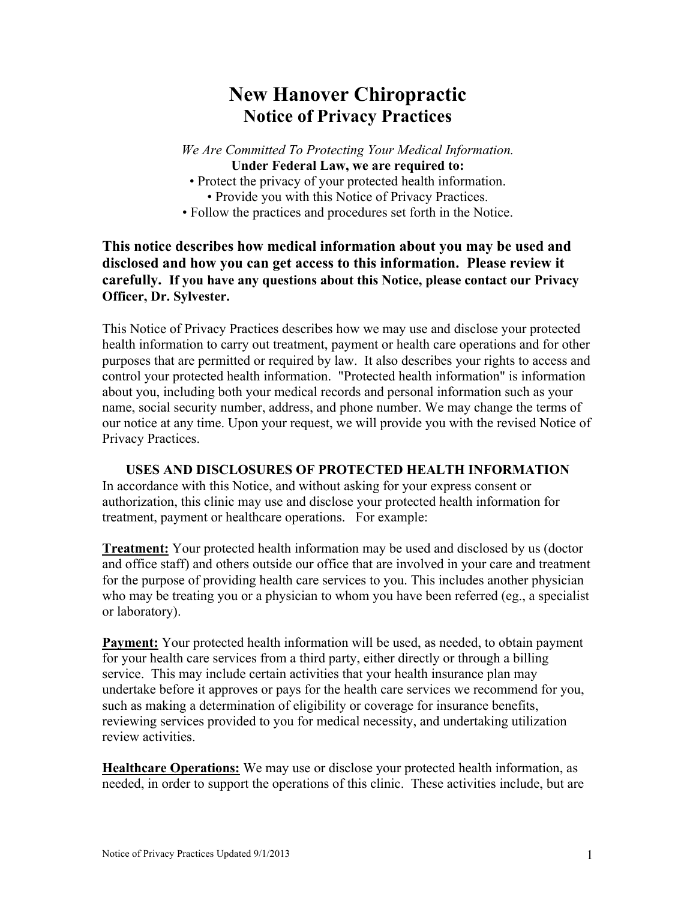# **New Hanover Chiropractic Notice of Privacy Practices**

*We Are Committed To Protecting Your Medical Information.* **Under Federal Law, we are required to:**

- Protect the privacy of your protected health information. • Provide you with this Notice of Privacy Practices.
- Follow the practices and procedures set forth in the Notice.

## **This notice describes how medical information about you may be used and disclosed and how you can get access to this information. Please review it carefully. If you have any questions about this Notice, please contact our Privacy Officer, Dr. Sylvester.**

This Notice of Privacy Practices describes how we may use and disclose your protected health information to carry out treatment, payment or health care operations and for other purposes that are permitted or required by law. It also describes your rights to access and control your protected health information. "Protected health information" is information about you, including both your medical records and personal information such as your name, social security number, address, and phone number. We may change the terms of our notice at any time. Upon your request, we will provide you with the revised Notice of Privacy Practices.

**USES AND DISCLOSURES OF PROTECTED HEALTH INFORMATION** In accordance with this Notice, and without asking for your express consent or authorization, this clinic may use and disclose your protected health information for treatment, payment or healthcare operations. For example:

**Treatment:** Your protected health information may be used and disclosed by us (doctor and office staff) and others outside our office that are involved in your care and treatment for the purpose of providing health care services to you. This includes another physician who may be treating you or a physician to whom you have been referred (eg., a specialist or laboratory).

**Payment:** Your protected health information will be used, as needed, to obtain payment for your health care services from a third party, either directly or through a billing service. This may include certain activities that your health insurance plan may undertake before it approves or pays for the health care services we recommend for you, such as making a determination of eligibility or coverage for insurance benefits, reviewing services provided to you for medical necessity, and undertaking utilization review activities.

**Healthcare Operations:** We may use or disclose your protected health information, as needed, in order to support the operations of this clinic. These activities include, but are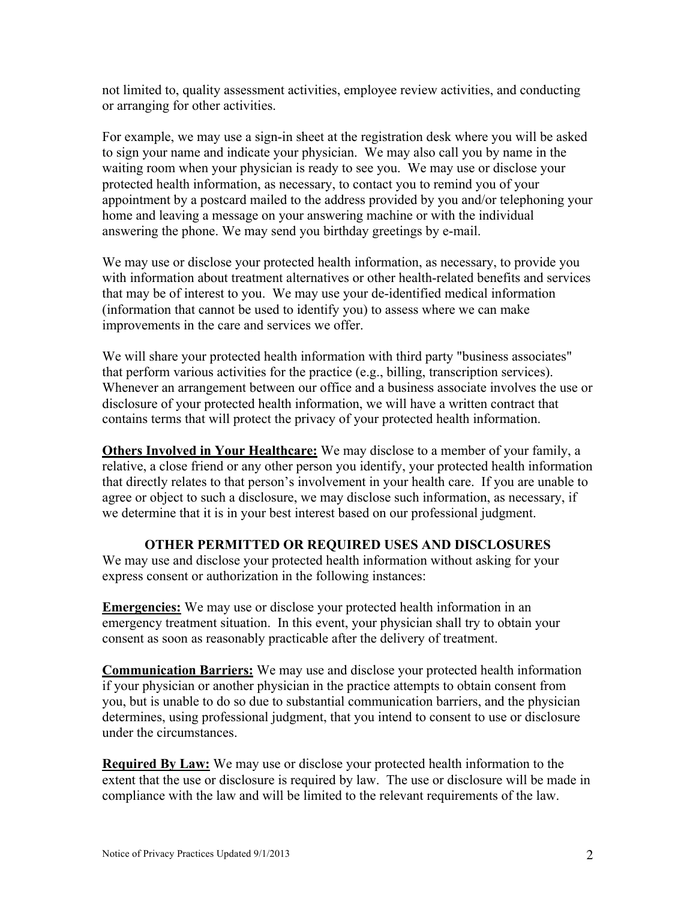not limited to, quality assessment activities, employee review activities, and conducting or arranging for other activities.

For example, we may use a sign-in sheet at the registration desk where you will be asked to sign your name and indicate your physician. We may also call you by name in the waiting room when your physician is ready to see you. We may use or disclose your protected health information, as necessary, to contact you to remind you of your appointment by a postcard mailed to the address provided by you and/or telephoning your home and leaving a message on your answering machine or with the individual answering the phone. We may send you birthday greetings by e-mail.

We may use or disclose your protected health information, as necessary, to provide you with information about treatment alternatives or other health-related benefits and services that may be of interest to you. We may use your de-identified medical information (information that cannot be used to identify you) to assess where we can make improvements in the care and services we offer.

We will share your protected health information with third party "business associates" that perform various activities for the practice (e.g., billing, transcription services). Whenever an arrangement between our office and a business associate involves the use or disclosure of your protected health information, we will have a written contract that contains terms that will protect the privacy of your protected health information.

**Others Involved in Your Healthcare:** We may disclose to a member of your family, a relative, a close friend or any other person you identify, your protected health information that directly relates to that person's involvement in your health care. If you are unable to agree or object to such a disclosure, we may disclose such information, as necessary, if we determine that it is in your best interest based on our professional judgment.

## **OTHER PERMITTED OR REQUIRED USES AND DISCLOSURES**

We may use and disclose your protected health information without asking for your express consent or authorization in the following instances:

**Emergencies:** We may use or disclose your protected health information in an emergency treatment situation. In this event, your physician shall try to obtain your consent as soon as reasonably practicable after the delivery of treatment.

**Communication Barriers:** We may use and disclose your protected health information if your physician or another physician in the practice attempts to obtain consent from you, but is unable to do so due to substantial communication barriers, and the physician determines, using professional judgment, that you intend to consent to use or disclosure under the circumstances.

**Required By Law:** We may use or disclose your protected health information to the extent that the use or disclosure is required by law. The use or disclosure will be made in compliance with the law and will be limited to the relevant requirements of the law.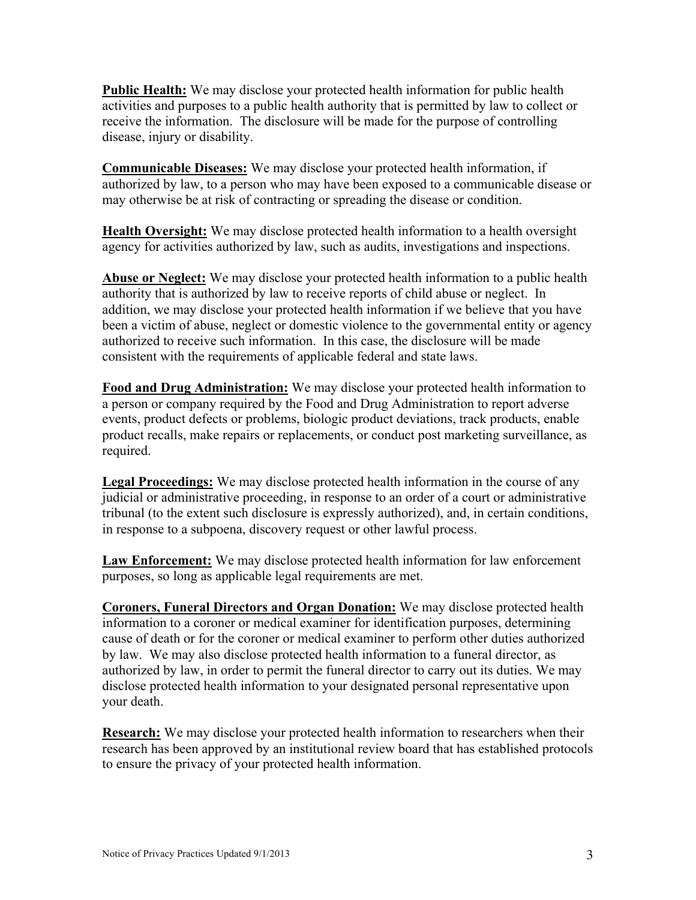**Public Health:** We may disclose your protected health information for public health activities and purposes to a public health authority that is permitted by law to collect or receive the information. The disclosure will be made for the purpose of controlling disease, injury or disability.

**Communicable Diseases:** We may disclose your protected health information, if authorized by law, to a person who may have been exposed to a communicable disease or may otherwise be at risk of contracting or spreading the disease or condition.

**Health Oversight:** We may disclose protected health information to a health oversight agency for activities authorized by law, such as audits, investigations and inspections.

**Abuse or Neglect:** We may disclose your protected health information to a public health authority that is authorized by law to receive reports of child abuse or neglect. In addition, we may disclose your protected health information if we believe that you have been a victim of abuse, neglect or domestic violence to the governmental entity or agency authorized to receive such information. In this case, the disclosure will be made consistent with the requirements of applicable federal and state laws.

**Food and Drug Administration:** We may disclose your protected health information to a person or company required by the Food and Drug Administration to report adverse events, product defects or problems, biologic product deviations, track products, enable product recalls, make repairs or replacements, or conduct post marketing surveillance, as required.

**Legal Proceedings:** We may disclose protected health information in the course of any judicial or administrative proceeding, in response to an order of a court or administrative tribunal (to the extent such disclosure is expressly authorized), and, in certain conditions, in response to a subpoena, discovery request or other lawful process.

**Law Enforcement:** We may disclose protected health information for law enforcement purposes, so long as applicable legal requirements are met.

**Coroners, Funeral Directors and Organ Donation:** We may disclose protected health information to a coroner or medical examiner for identification purposes, determining cause of death or for the coroner or medical examiner to perform other duties authorized by law. We may also disclose protected health information to a funeral director, as authorized by law, in order to permit the funeral director to carry out its duties. We may disclose protected health information to your designated personal representative upon your death.

**Research:** We may disclose your protected health information to researchers when their research has been approved by an institutional review board that has established protocols to ensure the privacy of your protected health information.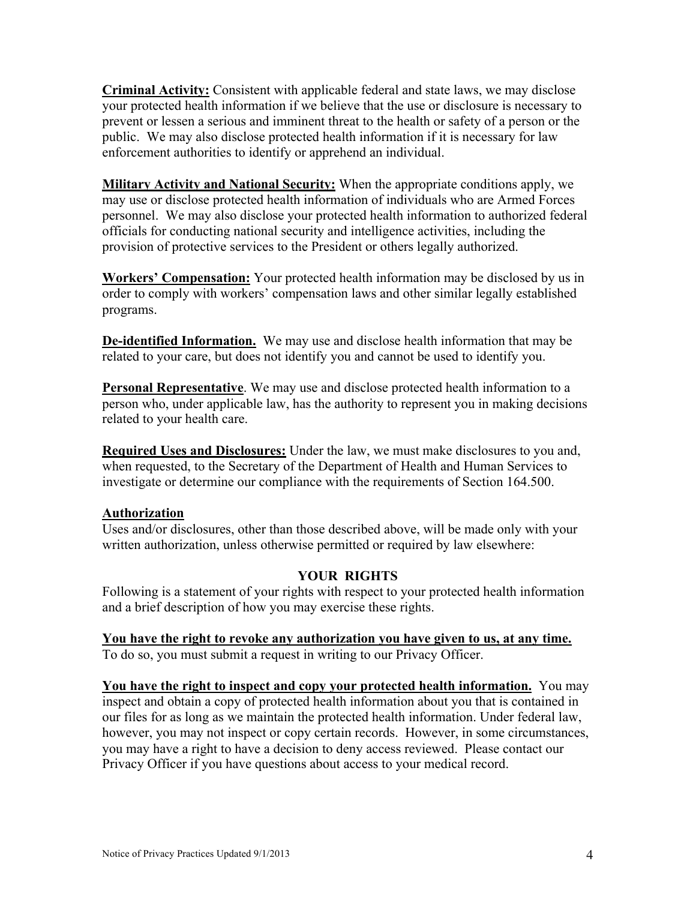**Criminal Activity:** Consistent with applicable federal and state laws, we may disclose your protected health information if we believe that the use or disclosure is necessary to prevent or lessen a serious and imminent threat to the health or safety of a person or the public. We may also disclose protected health information if it is necessary for law enforcement authorities to identify or apprehend an individual.

**Military Activity and National Security:** When the appropriate conditions apply, we may use or disclose protected health information of individuals who are Armed Forces personnel. We may also disclose your protected health information to authorized federal officials for conducting national security and intelligence activities, including the provision of protective services to the President or others legally authorized.

**Workers' Compensation:** Your protected health information may be disclosed by us in order to comply with workers' compensation laws and other similar legally established programs.

**De-identified Information.** We may use and disclose health information that may be related to your care, but does not identify you and cannot be used to identify you.

**Personal Representative**. We may use and disclose protected health information to a person who, under applicable law, has the authority to represent you in making decisions related to your health care.

**Required Uses and Disclosures:** Under the law, we must make disclosures to you and, when requested, to the Secretary of the Department of Health and Human Services to investigate or determine our compliance with the requirements of Section 164.500.

## **Authorization**

Uses and/or disclosures, other than those described above, will be made only with your written authorization, unless otherwise permitted or required by law elsewhere:

## **YOUR RIGHTS**

Following is a statement of your rights with respect to your protected health information and a brief description of how you may exercise these rights.

**You have the right to revoke any authorization you have given to us, at any time.**  To do so, you must submit a request in writing to our Privacy Officer.

**You have the right to inspect and copy your protected health information.** You may inspect and obtain a copy of protected health information about you that is contained in our files for as long as we maintain the protected health information. Under federal law, however, you may not inspect or copy certain records. However, in some circumstances, you may have a right to have a decision to deny access reviewed. Please contact our Privacy Officer if you have questions about access to your medical record.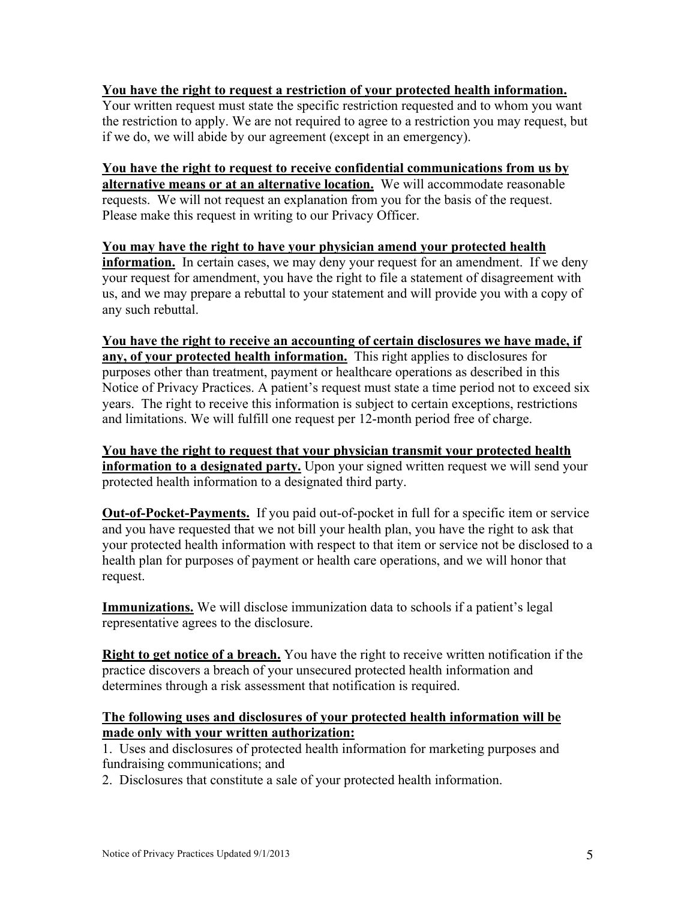#### **You have the right to request a restriction of your protected health information.**

Your written request must state the specific restriction requested and to whom you want the restriction to apply. We are not required to agree to a restriction you may request, but if we do, we will abide by our agreement (except in an emergency).

#### **You have the right to request to receive confidential communications from us by alternative means or at an alternative location.** We will accommodate reasonable requests. We will not request an explanation from you for the basis of the request. Please make this request in writing to our Privacy Officer.

#### **You may have the right to have your physician amend your protected health information.** In certain cases, we may deny your request for an amendment. If we deny your request for amendment, you have the right to file a statement of disagreement with us, and we may prepare a rebuttal to your statement and will provide you with a copy of any such rebuttal.

**You have the right to receive an accounting of certain disclosures we have made, if any, of your protected health information.** This right applies to disclosures for purposes other than treatment, payment or healthcare operations as described in this Notice of Privacy Practices. A patient's request must state a time period not to exceed six years. The right to receive this information is subject to certain exceptions, restrictions and limitations. We will fulfill one request per 12-month period free of charge.

**You have the right to request that your physician transmit your protected health information to a designated party.** Upon your signed written request we will send your protected health information to a designated third party.

**Out-of-Pocket-Payments.** If you paid out-of-pocket in full for a specific item or service and you have requested that we not bill your health plan, you have the right to ask that your protected health information with respect to that item or service not be disclosed to a health plan for purposes of payment or health care operations, and we will honor that request.

**Immunizations.** We will disclose immunization data to schools if a patient's legal representative agrees to the disclosure.

**Right to get notice of a breach.** You have the right to receive written notification if the practice discovers a breach of your unsecured protected health information and determines through a risk assessment that notification is required.

#### **The following uses and disclosures of your protected health information will be made only with your written authorization:**

1. Uses and disclosures of protected health information for marketing purposes and fundraising communications; and

2. Disclosures that constitute a sale of your protected health information.